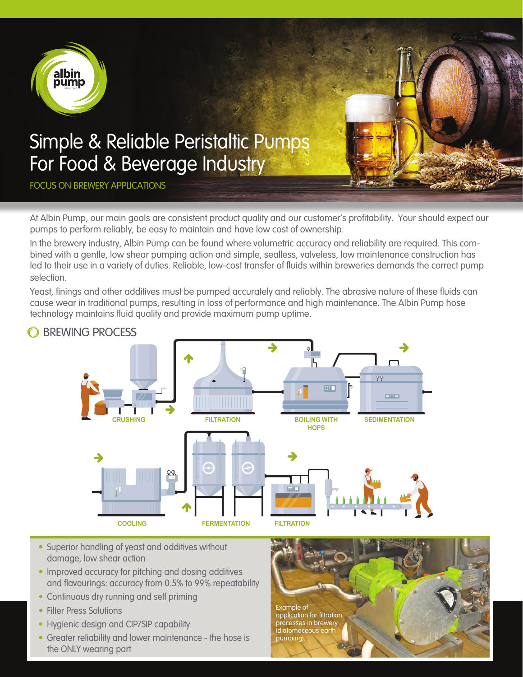

At Albin Pump, our main goals are consistent product quality and our customer's profitability. Your should expect our pumps to perform reliably, be easy to maintain and have low cost of ownership.

In the brewery industry, Albin Pump can be found where volumetric accuracy and reliability are required. This combined with a gentle, low shear pumping action and simple, sealless, valveless, low maintenance construction has led to their use in a variety of duties. Reliable, low-cost transfer of fluids within breweries demands the correct pump selection.

Yeast, finings and other additives must be pumped accurately and reliably. The abrasive nature of these fluids can cause wear in traditional pumps, resulting in loss of performance and high maintenance. The Albin Pump hose technology maintains fluid quality and provide maximum pump uptime.



### **O BREWING PROCESS**

- Superior handling of yeast and additives without damage, low shear action
- Improved accuracy for pitching and dosing additives and flavourings: accuracy from 0.5% to 99% repeatability
- Continuous dry running and self priming
- Filter Press Solutions
- Hygienic design and CIP/SIP capability
- Greater reliability and lower maintenance the hose is the ONLY wearing part